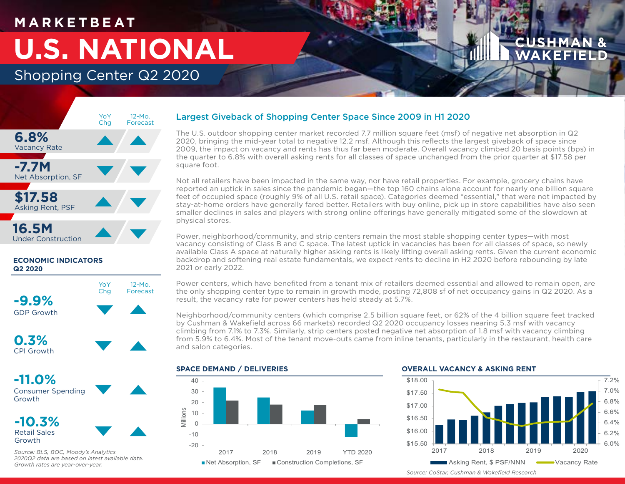## **M A R K E T B E AT**

# **U.S. NATIONAL**

## Shopping Center Q2 2020



## **ECONOMIC INDICATORS Q2 2020**





**-11.0%** Consumer Spending Growth

**-10.3%** Retail Sales Growth



*Source: BLS, BOC, Moody's Analytics 2020Q2 data are based on latest available data. Growth rates are year-over-year.*

## Largest Giveback of Shopping Center Space Since 2009 in H1 2020

The U.S. outdoor shopping center market recorded 7.7 million square feet (msf) of negative net absorption in Q2 2020, bringing the mid-year total to negative 12.2 msf. Although this reflects the largest giveback of space since 2009, the impact on vacancy and rents has thus far been moderate. Overall vacancy climbed 20 basis points (bps) in the quarter to 6.8% with overall asking rents for all classes of space unchanged from the prior quarter at \$17.58 per square foot.

Not all retailers have been impacted in the same way, nor have retail properties. For example, grocery chains have reported an uptick in sales since the pandemic began—the top 160 chains alone account for nearly one billion square feet of occupied space (roughly 9% of all U.S. retail space). Categories deemed "essential," that were not impacted by stay-at-home orders have generally fared better. Retailers with buy online, pick up in store capabilities have also seen smaller declines in sales and players with strong online offerings have generally mitigated some of the slowdown at physical stores.

Power, neighborhood/community, and strip centers remain the most stable shopping center types—with most vacancy consisting of Class B and C space. The latest uptick in vacancies has been for all classes of space, so newly available Class A space at naturally higher asking rents is likely lifting overall asking rents. Given the current economic backdrop and softening real estate fundamentals, we expect rents to decline in H2 2020 before rebounding by late 2021 or early 2022.

Power centers, which have benefited from a tenant mix of retailers deemed essential and allowed to remain open, are the only shopping center type to remain in growth mode, posting 72,808 sf of net occupancy gains in Q2 2020. As a result, the vacancy rate for power centers has held steady at 5.7%.

Neighborhood/community centers (which comprise 2.5 billion square feet, or 62% of the 4 billion square feet tracked by Cushman & Wakefield across 66 markets) recorded Q2 2020 occupancy losses nearing 5.3 msf with vacancy climbing from 7.1% to 7.3%. Similarly, strip centers posted negative net absorption of 1.8 msf with vacancy climbing from 5.9% to 6.4%. Most of the tenant move-outs came from inline tenants, particularly in the restaurant, health care and salon categories.

### **SPACE DEMAND / DELIVERIES**



### **OVERALL VACANCY & ASKING RENT**



*Source: CoStar, Cushman & Wakefield Research*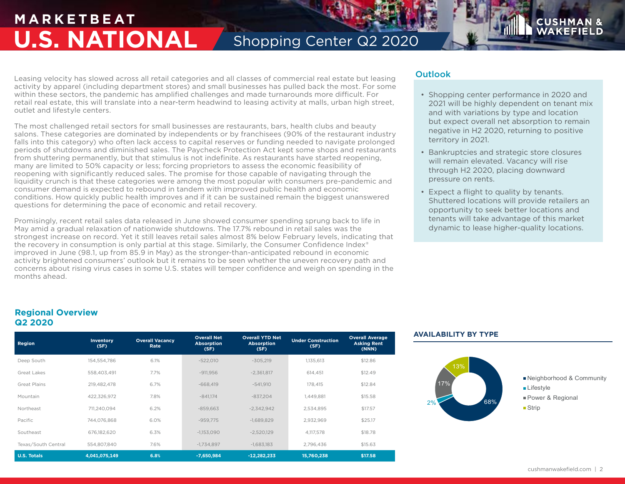## **M A R K E T B E AT U.S. NATIONAL** Shopping Center Q2 2020

Leasing velocity has slowed across all retail categories and all classes of commercial real estate but leasing activity by apparel (including department stores) and small businesses has pulled back the most. For some within these sectors, the pandemic has amplified challenges and made turnarounds more difficult. For retail real estate, this will translate into a near-term headwind to leasing activity at malls, urban high street, outlet and lifestyle centers.

The most challenged retail sectors for small businesses are restaurants, bars, health clubs and beauty salons. These categories are dominated by independents or by franchisees (90% of the restaurant industry falls into this category) who often lack access to capital reserves or funding needed to navigate prolonged periods of shutdowns and diminished sales. The Paycheck Protection Act kept some shops and restaurants from shuttering permanently, but that stimulus is not indefinite. As restaurants have started reopening, many are limited to 50% capacity or less; forcing proprietors to assess the economic feasibility of reopening with significantly reduced sales. The promise for those capable of navigating through the liquidity crunch is that these categories were among the most popular with consumers pre-pandemic and consumer demand is expected to rebound in tandem with improved public health and economic conditions. How quickly public health improves and if it can be sustained remain the biggest unanswered questions for determining the pace of economic and retail recovery.

Promisingly, recent retail sales data released in June showed consumer spending sprung back to life in May amid a gradual relaxation of nationwide shutdowns. The 17.7% rebound in retail sales was the strongest increase on record. Yet it still leaves retail sales almost 8% below February levels, indicating that the recovery in consumption is only partial at this stage. Similarly, the Consumer Confidence Index<sup>®</sup> improved in June (98.1, up from 85.9 in May) as the stronger-than-anticipated rebound in economic activity brightened consumers' outlook but it remains to be seen whether the uneven recovery path and concerns about rising virus cases in some U.S. states will temper confidence and weigh on spending in the months ahead.

## **Outlook**

• Shopping center performance in 2020 and 2021 will be highly dependent on tenant mix and with variations by type and location but expect overall net absorption to remain negative in H2 2020, returning to positive territory in 2021.

**CUSHMA** 

- Bankruptcies and strategic store closures will remain elevated. Vacancy will rise through H2 2020, placing downward pressure on rents.
- Expect a flight to quality by tenants. Shuttered locations will provide retailers an opportunity to seek better locations and tenants will take advantage of this market dynamic to lease higher-quality locations.

## **Regional Overview Q2 2020**

| Region              | <b>Inventory</b><br>(SF) | <b>Overall Vacancy</b><br>Rate | <b>Overall Net</b><br><b>Absorption</b><br>(SF) | <b>Overall YTD Net</b><br><b>Absorption</b><br>(SF) | <b>Under Construction</b><br>(SF) | <b>Overall Average</b><br><b>Asking Rent</b><br>(NNN) |
|---------------------|--------------------------|--------------------------------|-------------------------------------------------|-----------------------------------------------------|-----------------------------------|-------------------------------------------------------|
| Deep South          | 154.554.786              | 6.1%                           | $-522.010$                                      | $-305.219$                                          | 1.135.613                         | \$12.86                                               |
| Great Lakes         | 558.403.491              | 7.7%                           | $-911.956$                                      | $-2,361,817$                                        | 614.451                           | \$12.49                                               |
| Great Plains        | 219.482.478              | 6.7%                           | $-668.419$                                      | $-541.910$                                          | 178.415                           | \$12.84                                               |
| Mountain            | 422.326.972              | 7.8%                           | $-841.174$                                      | $-837.204$                                          | 1.449.881                         | \$15.58                                               |
| Northeast           | 711.240.094              | 6.2%                           | $-859.663$                                      | $-2.342.942$                                        | 2,534,895                         | \$17.57                                               |
| Pacific             | 744.076.868              | 6.0%                           | $-959.775$                                      | $-1.689.829$                                        | 2,932,969                         | \$25.17                                               |
| Southeast           | 676,182,620              | 6.3%                           | $-1.153.090$                                    | $-2,520,129$                                        | 4.117.578                         | \$18.78                                               |
| Texas/South Central | 554,807,840              | 7.6%                           | $-1,734,897$                                    | $-1,683,183$                                        | 2,796,436                         | \$15.63                                               |
| <b>U.S. Totals</b>  | 4,041,075,149            | 6.8%                           | $-7,650,984$                                    | $-12,282,233$                                       | 15,760,238                        | \$17.58                                               |

## **AVAILABILITY BY TYPE**

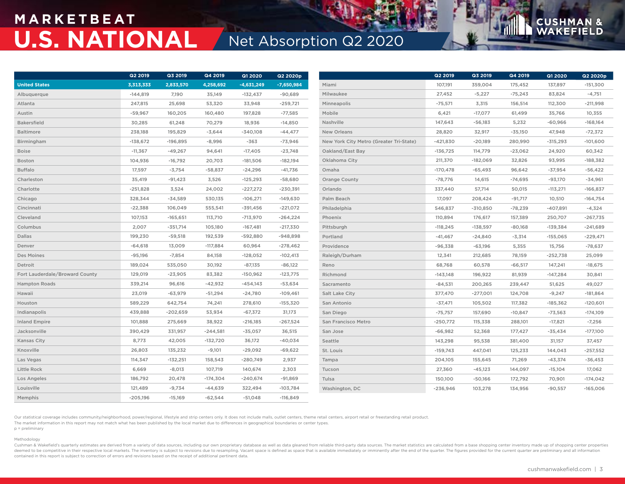## **M A R K E T B E AT U.S. NATIONAL** Net Absorption Q2 2020

|                                | <b>Q2 2019</b> | Q3 2019    | Q4 2019    | <b>Q1 2020</b> | Q2 2020p     |                                         | Q2 2019    | Q3 2019    | Q4 2019   | Q1 2020    | Q2 2020p   |  |
|--------------------------------|----------------|------------|------------|----------------|--------------|-----------------------------------------|------------|------------|-----------|------------|------------|--|
| <b>United States</b>           | 3,313,333      | 2,833,570  | 4,258,692  | $-4,631,249$   | $-7,650,984$ | Miami                                   | 107,191    | 359,004    | 175,452   | 137,897    | $-151,300$ |  |
| Albuquerque                    | $-144,819$     | 7,190      | 35,149     | $-132,437$     | $-90,689$    | Milwaukee                               | 27,452     | $-5,227$   | $-75,243$ | 83,824     | $-4,751$   |  |
| Atlanta                        | 247,815        | 25,698     | 53,320     | 33,948         | $-259,721$   | Minneapolis                             | $-75,571$  | 3,315      | 156,514   | 112,300    | $-211,998$ |  |
| Austin                         | $-59,967$      | 160,205    | 160,480    | 197,828        | $-77,585$    | Mobile                                  | 6,421      | $-17,077$  | 61,499    | 35,766     | 10,355     |  |
| <b>Bakersfield</b>             | 30,285         | 61,248     | 70,279     | 18,936         | $-14,850$    | Nashville                               | 147,643    | $-56,183$  | 5,232     | $-60,966$  | $-168,164$ |  |
| <b>Baltimore</b>               | 238,188        | 195,829    | $-3,644$   | $-340,108$     | $-44,477$    | New Orleans                             | 28,820     | 32,917     | $-35,150$ | 47,948     | $-72,372$  |  |
| Birmingham                     | $-138,672$     | $-196,895$ | $-8,996$   | $-363$         | $-73,946$    | New York City Metro (Greater Tri-State) | $-421,830$ | $-20,189$  | 280,990   | $-315,293$ | $-101,600$ |  |
| <b>Boise</b>                   | $-11,367$      | $-49,267$  | 94,641     | $-17,405$      | $-23,748$    | Oakland/East Bay                        | $-136,725$ | 114,779    | $-23,062$ | 24,920     | 60,342     |  |
| Boston                         | 104,936        | $-16,792$  | 20,703     | $-181,506$     | $-182,194$   | Oklahoma City                           | 211,370    | $-182,069$ | 32,826    | 93,995     | $-188,382$ |  |
| <b>Buffalo</b>                 | 17,597         | $-3,754$   | $-58,837$  | $-24,296$      | $-41,736$    | Omaha                                   | $-170,478$ | $-65,493$  | 96,642    | $-37,954$  | $-56,422$  |  |
| Charleston                     | 35,419         | $-91,423$  | 3,526      | $-125,293$     | $-58,680$    | <b>Orange County</b>                    | $-78,776$  | 14,615     | $-74,695$ | $-93,170$  | $-34,961$  |  |
| Charlotte                      | $-251,828$     | 3,524      | 24,002     | $-227,272$     | $-230,391$   | Orlando                                 | 337,440    | 57,714     | 50,015    | $-113,271$ | $-166,837$ |  |
| Chicago                        | 328,344        | $-34,589$  | 530,135    | $-106,271$     | $-149,630$   | Palm Beach                              | 17,097     | 208,424    | $-91,717$ | 10,510     | $-164,754$ |  |
| Cincinnati                     | $-22,388$      | 106,049    | 555,541    | $-391,456$     | $-221,072$   | Philadelphia                            | 546,837    | $-310,850$ | $-78,239$ | $-407,891$ | $-4,324$   |  |
| Cleveland                      | 107,153        | $-165,651$ | 113,710    | $-713,970$     | $-264,224$   | Phoenix                                 | 110,894    | 176,617    | 157,389   | 250,707    | $-267,735$ |  |
| Columbus                       | 2,007          | $-351,714$ | 105,180    | $-167,481$     | $-217,330$   | Pittsburgh                              | $-118,245$ | $-138,597$ | $-80,168$ | $-139,384$ | $-241,689$ |  |
| Dallas                         | 199,230        | $-59,518$  | 192,539    | $-592,880$     | $-948,898$   | Portland                                | $-41,467$  | $-24,840$  | $-3,314$  | $-155,065$ | $-229,471$ |  |
| Denver                         | $-64,618$      | 13,009     | $-117,884$ | 60,964         | $-278,462$   | Providence                              | $-96,338$  | $-63,196$  | 5,355     | 15,756     | $-78,637$  |  |
| Des Moines                     | $-95,196$      | $-7,854$   | 84,158     | $-128,052$     | $-102,413$   | Raleigh/Durham                          | 12,341     | 212,685    | 78,159    | $-252,738$ | 25,099     |  |
| Detroit                        | 189,024        | 535,050    | 30,192     | $-87,135$      | $-86,122$    | Reno                                    | 68,768     | 60,578     | $-66,517$ | 147,241    | $-18,675$  |  |
| Fort Lauderdale/Broward County | 129,019        | $-23,905$  | 83,382     | $-150,962$     | $-123,775$   | Richmond                                | $-143,148$ | 196,922    | 81,939    | $-147,284$ | 30,841     |  |
| <b>Hampton Roads</b>           | 339,214        | 96,616     | $-42,932$  | $-454,143$     | $-53,634$    | Sacramento                              | $-84,531$  | 200,265    | 239,447   | 51,625     | 49,027     |  |
| Hawaii                         | 23,019         | $-63,979$  | $-51,294$  | $-24,780$      | $-109,461$   | Salt Lake City                          | 377,470    | $-277,001$ | 124,708   | $-9,247$   | $-181,864$ |  |
| Houston                        | 589,229        | 642,754    | 74,241     | 278,610        | $-155,320$   | San Antonio                             | $-37,471$  | 105,502    | 117,382   | $-185,362$ | $-120,601$ |  |
| Indianapolis                   | 439,888        | $-202,659$ | 53,934     | $-67,372$      | 31,173       | San Diego                               | $-75,757$  | 157,690    | $-10,847$ | $-73,563$  | $-174,109$ |  |
| <b>Inland Empire</b>           | 101,888        | 275,669    | 38,922     | $-216,185$     | $-267,524$   | San Francisco Metro                     | $-250,772$ | 115,338    | 288,101   | $-17,821$  | $-7,256$   |  |
| Jacksonville                   | 390,429        | 331,957    | $-244,581$ | $-35,057$      | 36,515       | San Jose                                | $-66,982$  | 52,368     | 177,427   | $-35,434$  | $-177,100$ |  |
| Kansas City                    | 8,773          | 42,005     | $-132,720$ | 36,172         | $-40,034$    | Seattle                                 | 143,298    | 95,538     | 381,400   | 31,157     | 37,457     |  |
| Knoxville                      | 26,803         | 135,232    | $-9,101$   | $-29,092$      | $-69,622$    | St. Louis                               | $-159,743$ | 447,041    | 125,233   | 144,043    | $-257,552$ |  |
| Las Vegas                      | 114,347        | $-132,251$ | 158,543    | $-280,749$     | 2,937        | Tampa                                   | 204,105    | 155,645    | 71,269    | $-43,374$  | $-36,453$  |  |
| Little Rock                    | 6,669          | $-8,013$   | 107,719    | 140,674        | 2,303        | Tucson                                  | 27,360     | $-45,123$  | 144,097   | $-15,104$  | 17,062     |  |
| Los Angeles                    | 186,792        | 20,478     | $-174,304$ | $-240,674$     | $-91,869$    | Tulsa                                   | 150,100    | $-50,166$  | 172,792   | 70,901     | $-174,042$ |  |
| Louisville                     | 121,489        | $-9,734$   | $-44,639$  | 322,494        | $-103,784$   | Washington, DC                          | $-236,946$ | 103,278    | 134,956   | $-90,557$  | $-165,006$ |  |
| Memphis                        | $-205,196$     | $-15,169$  | $-62,544$  | $-51,048$      | $-116,849$   |                                         |            |            |           |            |            |  |

Our statistical coverage includes community/neighborhood, power/regional, lifestyle and strip centers only. It does not include malls, outlet centers, theme retail centers, airport retail or freestanding retail product. The market information in this report may not match what has been published by the local market due to differences in geographical boundaries or center types.

### p = preliminary Methodology

Cushman & Wakefield's quarterly estimates are derived from a variety of data sources, including our own proprietary database as well as data gleaned from reliable third-party data sources. The market statistics are calcula deemed to be competitive in their respective local markets. The inventory is subject to revisions due to resampling. Vacant space is defined as space that is available immediately or imminently after the end of the quarter contained in this report is subject to correction of errors and revisions based on the receipt of additional pertinent data.

**CUSHMA** 

**N** &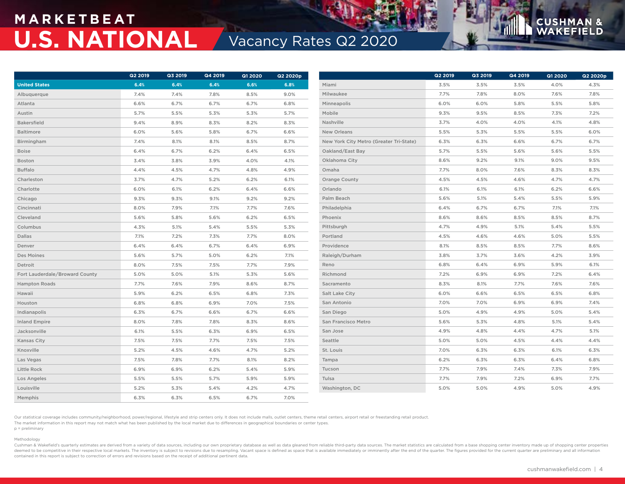## **M A R K E T B E AT U.S. NATIONAL Vacancy Rates Q2 2020**

|                                | <b>Q2 2019</b> | Q3 2019 | Q4 2019 | Q1 2020 | Q2 2020p |                                         | <b>Q2 2019</b> | Q3 2019 | Q4 2019 | Q1 2020 | Q2 2020p |
|--------------------------------|----------------|---------|---------|---------|----------|-----------------------------------------|----------------|---------|---------|---------|----------|
| <b>United States</b>           | 6.4%           | 6.4%    | 6.4%    | 6.6%    | 6.8%     | Miami                                   | 3.5%           | 3.5%    | 3.5%    | 4.0%    | 4.3%     |
| Albuquerque                    | 7.4%           | 7.4%    | 7.8%    | 8.5%    | 9.0%     | Milwaukee                               | 7.7%           | 7.8%    | 8.0%    | 7.6%    | 7.8%     |
| Atlanta                        | 6.6%           | 6.7%    | 6.7%    | 6.7%    | 6.8%     | Minneapolis                             | 6.0%           | 6.0%    | 5.8%    | 5.5%    | 5.8%     |
| Austin                         | 5.7%           | 5.5%    | 5.3%    | 5.3%    | 5.7%     | Mobile                                  | 9.3%           | 9.5%    | 8.5%    | 7.3%    | 7.2%     |
| <b>Bakersfield</b>             | 9.4%           | 8.9%    | 8.3%    | 8.2%    | 8.3%     | Nashville                               | 3.7%           | 4.0%    | 4.0%    | 4.1%    | 4.8%     |
| Baltimore                      | 6.0%           | 5.6%    | 5.8%    | 6.7%    | 6.6%     | New Orleans                             | 5.5%           | 5.3%    | 5.5%    | 5.5%    | 6.0%     |
| Birmingham                     | 7.4%           | 8.1%    | 8.1%    | 8.5%    | 8.7%     | New York City Metro (Greater Tri-State) | 6.3%           | 6.3%    | 6.6%    | 6.7%    | 6.7%     |
| <b>Boise</b>                   | 6.4%           | 6.7%    | 6.2%    | 6.4%    | 6.5%     | Oakland/East Bay                        | 5.7%           | 5.5%    | 5.6%    | 5.6%    | 5.5%     |
| Boston                         | 3.4%           | 3.8%    | 3.9%    | 4.0%    | 4.1%     | Oklahoma City                           | 8.6%           | 9.2%    | 9.1%    | 9.0%    | 9.5%     |
| <b>Buffalo</b>                 | 4.4%           | 4.5%    | 4.7%    | 4.8%    | 4.9%     | Omaha                                   | 7.7%           | 8.0%    | 7.6%    | 8.3%    | 8.3%     |
| Charleston                     | 3.7%           | 4.7%    | 5.2%    | 6.2%    | 6.1%     | Orange County                           | 4.5%           | 4.5%    | 4.6%    | 4.7%    | 4.7%     |
| Charlotte                      | 6.0%           | 6.1%    | 6.2%    | 6.4%    | 6.6%     | Orlando                                 | 6.1%           | 6.1%    | 6.1%    | 6.2%    | 6.6%     |
| Chicago                        | 9.3%           | 9.3%    | 9.1%    | 9.2%    | 9.2%     | Palm Beach                              | 5.6%           | 5.1%    | 5.4%    | 5.5%    | 5.9%     |
| Cincinnati                     | 8.0%           | 7.9%    | 7.1%    | 7.7%    | 7.6%     | Philadelphia                            | 6.4%           | 6.7%    | 6.7%    | 7.1%    | 7.1%     |
| Cleveland                      | 5.6%           | 5.8%    | 5.6%    | 6.2%    | 6.5%     | Phoenix                                 | 8.6%           | 8.6%    | 8.5%    | 8.5%    | 8.7%     |
| Columbus                       | 4.3%           | 5.1%    | 5.4%    | 5.5%    | 5.3%     | Pittsburgh                              | 4.7%           | 4.9%    | 5.1%    | 5.4%    | 5.5%     |
| <b>Dallas</b>                  | 7.1%           | 7.2%    | 7.3%    | 7.7%    | 8.0%     | Portland                                | 4.5%           | 4.6%    | 4.6%    | 5.0%    | 5.5%     |
| Denver                         | 6.4%           | 6.4%    | 6.7%    | 6.4%    | 6.9%     | Providence                              | 8.1%           | 8.5%    | 8.5%    | 7.7%    | 8.6%     |
| Des Moines                     | 5.6%           | 5.7%    | 5.0%    | 6.2%    | 7.1%     | Raleigh/Durham                          | 3.8%           | 3.7%    | 3.6%    | 4.2%    | 3.9%     |
| Detroit                        | 8.0%           | 7.5%    | 7.5%    | 7.7%    | 7.9%     | Reno                                    | 6.8%           | 6.4%    | 6.9%    | 5.9%    | 6.1%     |
| Fort Lauderdale/Broward County | 5.0%           | 5.0%    | 5.1%    | 5.3%    | 5.6%     | Richmond                                | 7.2%           | 6.9%    | 6.9%    | 7.2%    | 6.4%     |
| <b>Hampton Roads</b>           | 7.7%           | 7.6%    | 7.9%    | 8.6%    | 8.7%     | Sacramento                              | 8.3%           | 8.1%    | 7.7%    | 7.6%    | 7.6%     |
| Hawaii                         | 5.9%           | 6.2%    | 6.5%    | 6.8%    | 7.3%     | Salt Lake City                          | 6.0%           | 6.6%    | 6.5%    | 6.5%    | 6.8%     |
| Houston                        | 6.8%           | 6.8%    | 6.9%    | 7.0%    | 7.5%     | San Antonio                             | 7.0%           | 7.0%    | 6.9%    | 6.9%    | 7.4%     |
| Indianapolis                   | 6.3%           | 6.7%    | 6.6%    | 6.7%    | 6.6%     | San Diego                               | 5.0%           | 4.9%    | 4.9%    | 5.0%    | 5.4%     |
| <b>Inland Empire</b>           | 8.0%           | 7.8%    | 7.8%    | 8.3%    | 8.6%     | San Francisco Metro                     | 5.6%           | 5.3%    | 4.8%    | 5.1%    | 5.4%     |
| Jacksonville                   | 6.1%           | 5.5%    | 6.3%    | 6.9%    | 6.5%     | San Jose                                | 4.9%           | 4.8%    | 4.4%    | 4.7%    | 5.1%     |
| Kansas City                    | 7.5%           | 7.5%    | 7.7%    | 7.5%    | 7.5%     | Seattle                                 | 5.0%           | 5.0%    | 4.5%    | 4.4%    | 4.4%     |
| Knoxville                      | 5.2%           | 4.5%    | 4.6%    | 4.7%    | 5.2%     | St. Louis                               | 7.0%           | 6.3%    | 6.3%    | 6.1%    | 6.3%     |
| Las Vegas                      | 7.5%           | 7.8%    | 7.7%    | 8.1%    | 8.2%     | Tampa                                   | 6.2%           | 6.3%    | 6.3%    | 6.4%    | 6.8%     |
| Little Rock                    | 6.9%           | 6.9%    | 6.2%    | 5.4%    | 5.9%     | Tucson                                  | 7.7%           | 7.9%    | 7.4%    | 7.3%    | 7.9%     |
| Los Angeles                    | 5.5%           | 5.5%    | 5.7%    | 5.9%    | 5.9%     | Tulsa                                   | 7.7%           | 7.9%    | 7.2%    | 6.9%    | 7.7%     |
| Louisville                     | 5.2%           | 5.3%    | 5.4%    | 4.2%    | 4.7%     | Washington, DC                          | 5.0%           | 5.0%    | 4.9%    | 5.0%    | 4.9%     |
| Memphis                        | 6.3%           | 6.3%    | 6.5%    | 6.7%    | 7.0%     |                                         |                |         |         |         |          |

Our statistical coverage includes community/neighborhood, power/regional, lifestyle and strip centers only. It does not include malls, outlet centers, theme retail centers, airport retail or freestanding retail product. The market information in this report may not match what has been published by the local market due to differences in geographical boundaries or center types. p = preliminary

### Methodology

Cushman & Wakefield's quarterly estimates are derived from a variety of data sources, including our own proprietary database as well as data gleaned from reliable third-party data sources. The market statistics are calcula deemed to be competitive in their respective local markets. The inventory is subject to revisions due to resampling. Vacant space is defined as space that is available immediately or imminently after the end of the quarter contained in this report is subject to correction of errors and revisions based on the receipt of additional pertinent data.

**CUSHMA** 

**N** &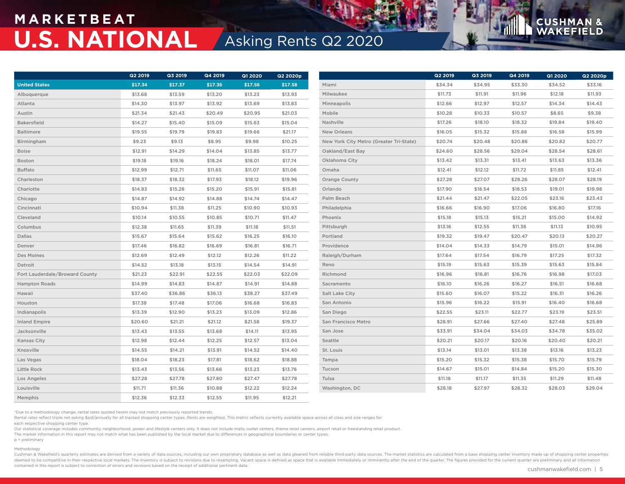## **M A R K E T B E AT U.S. NATIONAL** Asking Rents Q2 2020

|                                | Q2 2019 | Q3 2019 | Q4 2019 | <b>Q1 2020</b> | Q2 2020p |                                         | Q2 2019 | Q3 2019 | Q4 2019 | <b>Q1 2020</b> | Q2 2020p |
|--------------------------------|---------|---------|---------|----------------|----------|-----------------------------------------|---------|---------|---------|----------------|----------|
|                                |         |         |         |                |          |                                         |         |         |         |                |          |
| <b>United States</b>           | \$17.34 | \$17.37 | \$17.36 | \$17.56        | \$17.58  | Miami                                   | \$34.34 | \$34.95 | \$33.30 | \$34.52        | \$33.16  |
| Albuquerque                    | \$13.68 | \$13.59 | \$13.20 | \$13.23        | \$13.93  | Milwaukee                               | \$11.73 | \$11.91 | \$11.96 | \$12.18        | \$11.93  |
| Atlanta                        | \$14.30 | \$13.97 | \$13.92 | \$13.69        | \$13.83  | Minneapolis                             | \$12.66 | \$12.97 | \$12.57 | \$14.34        | \$14.43  |
| Austin                         | \$21.34 | \$21.43 | \$20.49 | \$20.95        | \$21.03  | Mobile                                  | \$10.28 | \$10.33 | \$10.57 | \$8.65         | \$9.38   |
| <b>Bakersfield</b>             | \$14.27 | \$15.40 | \$15.09 | \$15.63        | \$15.04  | Nashville                               | \$17.26 | \$18.10 | \$18.32 | \$19.84        | \$19.40  |
| Baltimore                      | \$19.55 | \$19.79 | \$19.83 | \$19.66        | \$21.17  | <b>New Orleans</b>                      | \$16.05 | \$15.32 | \$15.88 | \$16.58        | \$15.99  |
| Birmingham                     | \$9.23  | \$9.13  | \$8.95  | \$9.98         | \$10.25  | New York City Metro (Greater Tri-State) | \$20.74 | \$20.48 | \$20.86 | \$20.82        | \$20.77  |
| <b>Boise</b>                   | \$12.91 | \$14.29 | \$14.04 | \$13.85        | \$13.77  | Oakland/East Bay                        | \$24.60 | \$28.56 | \$29.04 | \$28.54        | \$28.61  |
| Boston                         | \$19.18 | \$19.16 | \$18.24 | \$18.01        | \$17.74  | Oklahoma City                           | \$13.42 | \$13.31 | \$13.41 | \$13.63        | \$13.36  |
| <b>Buffalo</b>                 | \$12.99 | \$12.71 | \$11.65 | \$11.07        | \$11.06  | Omaha                                   | \$12.41 | \$12.12 | \$11.72 | \$11.85        | \$12.41  |
| Charleston                     | \$18.37 | \$18.32 | \$17.93 | \$18.12        | \$19.96  | <b>Orange County</b>                    | \$27.28 | \$27.07 | \$28.26 | \$28.07        | \$28.19  |
| Charlotte                      | \$14.83 | \$15.28 | \$15.20 | \$15.91        | \$15.81  | Orlando                                 | \$17.90 | \$18.54 | \$18.53 | \$19.01        | \$19.98  |
| Chicago                        | \$14.87 | \$14.92 | \$14.88 | \$14.74        | \$14.47  | Palm Beach                              | \$21.44 | \$21.47 | \$22.05 | \$23.16        | \$23.43  |
| Cincinnati                     | \$10.94 | \$11.38 | \$11.25 | \$10.90        | \$10.93  | Philadelphia                            | \$16.66 | \$16.90 | \$17.06 | \$16.80        | \$17.16  |
| Cleveland                      | \$10.14 | \$10.55 | \$10.85 | \$10.71        | \$11.47  | Phoenix                                 | \$15.18 | \$15.13 | \$15.21 | \$15.00        | \$14.92  |
| Columbus                       | \$12.38 | \$11.65 | \$11.39 | \$11.18        | \$11.51  | Pittsburgh                              | \$13.16 | \$12.55 | \$11.36 | \$11.13        | \$10.95  |
| Dallas                         | \$15.67 | \$15.64 | \$15.62 | \$16.25        | \$16.10  | Portland                                | \$19.32 | \$19.47 | \$20.47 | \$20.13        | \$20.27  |
| Denver                         | \$17.46 | \$16.82 | \$16.69 | \$16.81        | \$16.71  | Providence                              | \$14.04 | \$14.33 | \$14.79 | \$15.01        | \$14.96  |
| Des Moines                     | \$12.69 | \$12.49 | \$12.12 | \$12.26        | \$11.22  | Raleigh/Durham                          | \$17.64 | \$17.54 | \$16.79 | \$17.25        | \$17.32  |
| Detroit                        | \$14.52 | \$13.18 | \$13.15 | \$14.54        | \$14.91  | Reno                                    | \$15.19 | \$15.63 | \$15.39 | \$15.63        | \$15.84  |
| Fort Lauderdale/Broward County | \$21.23 | \$22.91 | \$22.55 | \$22.03        | \$22.09  | Richmond                                | \$16.96 | \$16.81 | \$16.76 | \$16.98        | \$17.03  |
| <b>Hampton Roads</b>           | \$14.99 | \$14.83 | \$14.87 | \$14.91        | \$14.88  | Sacramento                              | \$16.10 | \$16.26 | \$16.27 | \$16.51        | \$16.68  |
| Hawaii                         | \$37.40 | \$36.86 | \$36.13 | \$38.27        | \$37.49  | Salt Lake City                          | \$15.60 | \$16.07 | \$15.22 | \$16.31        | \$16.26  |
| Houston                        | \$17.38 | \$17.48 | \$17.06 | \$16.68        | \$16.83  | San Antonio                             | \$15.96 | \$16.22 | \$15.91 | \$16.40        | \$16.68  |
| Indianapolis                   | \$13.39 | \$12.90 | \$13.23 | \$13.09        | \$12.86  | San Diego                               | \$22.55 | \$23.11 | \$22.77 | \$23.19        | \$23.51  |
| <b>Inland Empire</b>           | \$20.60 | \$21.21 | \$21.12 | \$21.58        | \$19.37  | San Francisco Metro                     | \$28.91 | \$27.66 | \$27.40 | \$27.48        | \$25.89  |
| Jacksonville                   | \$13.43 | \$13.55 | \$13.68 | \$14.11        | \$13.95  | San Jose                                | \$33.91 | \$34.04 | \$34.03 | \$34.78        | \$35.02  |
| <b>Kansas City</b>             | \$12.98 | \$12.44 | \$12.25 | \$12.57        | \$13.04  | Seattle                                 | \$20.21 | \$20.17 | \$20.16 | \$20.40        | \$20.21  |
| Knoxville                      | \$14.55 | \$14.21 | \$13.91 | \$14.52        | \$14.40  | St. Louis                               | \$13.14 | \$13.01 | \$13.38 | \$13.16        | \$13.23  |
| Las Vegas                      | \$18.04 | \$18.23 | \$17.81 | \$18.62        | \$18.88  | Tampa                                   | \$15.20 | \$15.32 | \$15.38 | \$15.70        | \$15.79  |
| Little Rock                    | \$13.43 | \$13.56 | \$13.66 | \$13.23        | \$13.76  | Tucson                                  | \$14.67 | \$15.01 | \$14.84 | \$15.20        | \$15.30  |
| Los Angeles                    | \$27.28 | \$27.78 | \$27.80 | \$27.47        | \$27.78  | Tulsa                                   | \$11.18 | \$11.17 | \$11.35 | \$11.29        | \$11.48  |
| Louisville                     | \$11.71 | \$11.36 | \$10.88 | \$12.22        | \$12.24  | Washington, DC                          | \$28.18 | \$27.97 | \$28.32 | \$28.03        | \$29.04  |
| Memphis                        | \$12.36 | \$12.33 | \$12.55 | \$11.95        | \$12.21  |                                         |         |         |         |                |          |

\*Due to a methodology change, rental rates quoted herein may not match previously reported trends.

Rental rates reflect triple net asking \$psf/annually for all tracked shopping center types. Rents are weighted. This metric reflects currently available space across all class and size ranges for

each respective shopping center type.

Our statistical coverage includes community, neighborhood, power and lifestyle centers only. It does not include malls, outlet centers, theme retail centers, airport retail or freestanding retail product.

The market information in this report may not match what has been published by the local market due to differences in geographical boundaries or center types.

p = preliminary

### Methodology

Cushman & Wakefield's quarterly estimates are derived from a variety of data sources, including our own proprietary database as well as data gleaned from reliable third-party data sources. The market statistics are calcula deemed to be competitive in their respective local markets. The inventory is subject to revisions due to resampling. Vacant space is defined as space that is available immediately or imminently after the end of the quarter contained in this report is subject to correction of errors and revisions based on the receipt of additional pertinent data.

**CUSHMA**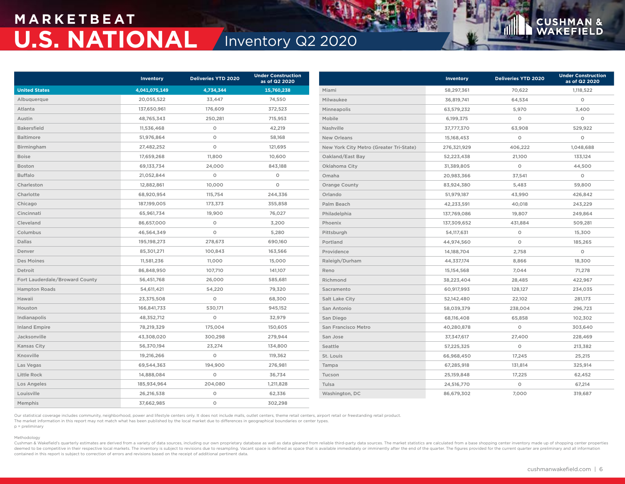## **M A R K E T B E AT U.S. NATIONAL** Inventory Q2 2020

|                                | Inventory     | <b>Deliveries YTD 2020</b> | <b>Under Construction</b><br>as of Q2 2020 |                                         | <b>Inventory</b> | <b>Deliveries YTD 2020</b> | <b>Under Construction</b><br>as of Q2 2020 |
|--------------------------------|---------------|----------------------------|--------------------------------------------|-----------------------------------------|------------------|----------------------------|--------------------------------------------|
| <b>United States</b>           | 4,041,075,149 | 4,734,344                  | 15,760,238                                 | Miami                                   | 58,297,361       | 70,622                     | 1,118,522                                  |
| Albuquerque                    | 20,055,522    | 33,447                     | 74,550                                     | Milwaukee                               | 36,819,741       | 64,534                     | $\circ$                                    |
| Atlanta                        | 137,650,961   | 176,609                    | 372,523                                    | Minneapolis                             | 63,579,232       | 5,970                      | 3,400                                      |
| Austin                         | 48,765,343    | 250,281                    | 715,953                                    | Mobile                                  | 6,199,375        | $\circ$                    | $\circ$                                    |
| <b>Bakersfield</b>             | 11,536,468    | $\circ$                    | 42,219                                     | Nashville                               | 37,777,370       | 63,908                     | 529,922                                    |
| Baltimore                      | 51,976,864    | $\circ$                    | 58,168                                     | <b>New Orleans</b>                      | 15,168,453       | $\circ$                    | $\circ$                                    |
| Birmingham                     | 27,482,252    | $\circ$                    | 121,695                                    | New York City Metro (Greater Tri-State) | 276,321,929      | 406,222                    | 1,048,688                                  |
| <b>Boise</b>                   | 17,659,268    | 11,800                     | 10,600                                     | Oakland/East Bay                        | 52,223,438       | 21,100                     | 133,124                                    |
| Boston                         | 69,133,734    | 24,000                     | 843,188                                    | Oklahoma City                           | 31,389,805       | $\circ$                    | 44,500                                     |
| <b>Buffalo</b>                 | 21,052,844    | $\circ$                    | $\circ$                                    | Omaha                                   | 20,983,366       | 37,541                     | $\circ$                                    |
| Charleston                     | 12,882,861    | 10,000                     | $\circ$                                    | <b>Orange County</b>                    | 83,924,380       | 5,483                      | 59,800                                     |
| Charlotte                      | 68,920,954    | 115,754                    | 244,336                                    | Orlando                                 | 51,979,187       | 43,990                     | 426,842                                    |
| Chicago                        | 187,199,005   | 173,373                    | 355,858                                    | Palm Beach                              | 42,233,591       | 40,018                     | 243,229                                    |
| Cincinnati                     | 65,961,734    | 19,900                     | 76,027                                     | Philadelphia                            | 137,769,086      | 19,807                     | 249,864                                    |
| Cleveland                      | 86,657,000    | $\circ$                    | 3,200                                      | Phoenix                                 | 137,309,652      | 431,884                    | 509,281                                    |
| Columbus                       | 46,564,349    | $\circ$                    | 5,280                                      | Pittsburgh                              | 54,117,631       | $\circ$                    | 15,300                                     |
| Dallas                         | 195, 198, 273 | 278,673                    | 690,160                                    | Portland                                | 44,974,560       | $\circ$                    | 185,265                                    |
| Denver                         | 85,301,271    | 100,843                    | 163,566                                    | Providence                              | 14,188,704       | 2,758                      | $\circ$                                    |
| Des Moines                     | 11,581,236    | 11,000                     | 15,000                                     | Raleigh/Durham                          | 44,337,174       | 8,866                      | 18,300                                     |
| Detroit                        | 86,848,950    | 107,710                    | 141,107                                    | Reno                                    | 15,154,568       | 7,044                      | 71,278                                     |
| Fort Lauderdale/Broward County | 56,451,768    | 26,000                     | 585,681                                    | Richmond                                | 38,223,404       | 28,485                     | 422,967                                    |
| <b>Hampton Roads</b>           | 54,611,421    | 54,220                     | 79,320                                     | Sacramento                              | 60,917,993       | 128,127                    | 234,035                                    |
| Hawaii                         | 23,375,508    | $\circ$                    | 68,300                                     | Salt Lake City                          | 52,142,480       | 22,102                     | 281,173                                    |
| Houston                        | 166,841,733   | 530,171                    | 945,152                                    | San Antonio                             | 58,039,379       | 238,004                    | 296,723                                    |
| Indianapolis                   | 48,352,712    | $\circ$                    | 32,979                                     | San Diego                               | 68,116,408       | 65,858                     | 102,302                                    |
| <b>Inland Empire</b>           | 78,219,329    | 175,004                    | 150,605                                    | San Francisco Metro                     | 40,280,878       | $\circ$                    | 303,640                                    |
| Jacksonville                   | 43,308,020    | 300,298                    | 279,944                                    | San Jose                                | 37,347,617       | 27,400                     | 228,469                                    |
| <b>Kansas City</b>             | 56,370,194    | 23,274                     | 134,800                                    | Seattle                                 | 57,225,325       | $\circ$                    | 213,382                                    |
| Knoxville                      | 19,216,266    | $\circ$                    | 119,362                                    | St. Louis                               | 66,968,450       | 17,245                     | 25,215                                     |
| Las Vegas                      | 69,544,363    | 194,900                    | 276,981                                    | Tampa                                   | 67,285,918       | 131,814                    | 325,914                                    |
| Little Rock                    | 14,888,084    | $\circ$                    | 36,734                                     | Tucson                                  | 25,159,848       | 17,225                     | 62,452                                     |
| Los Angeles                    | 185,934,964   | 204,080                    | 1,211,828                                  | Tulsa                                   | 24,516,770       | $\circ$                    | 67,214                                     |
| Louisville                     | 26,216,538    | $\circ$                    | 62,336                                     | Washington, DC                          | 86,679,302       | 7,000                      | 319,687                                    |
| Memphis                        | 37,662,985    | $\circ$                    | 302,298                                    |                                         |                  |                            |                                            |

Our statistical coverage includes community, neighborhood, power and lifestyle centers only. It does not include malls, outlet centers, theme retail centers, airport retail or freestanding retail product.

The market information in this report may not match what has been published by the local market due to differences in geographical boundaries or center types.

### p = preliminary Methodology

Cushman & Wakefield's quarterly estimates are derived from a variety of data sources, including our own proprietary database as well as data gleaned from reliable third-party data sources. The market statistics are calcula deemed to be competitive in their respective local markets. The inventory is subject to revisions due to resampling. Vacant space is defined as space that is available immediately or imminently after the end of the quarter contained in this report is subject to correction of errors and revisions based on the receipt of additional pertinent data.

**CUSHMA** 

**N** & **ELD**